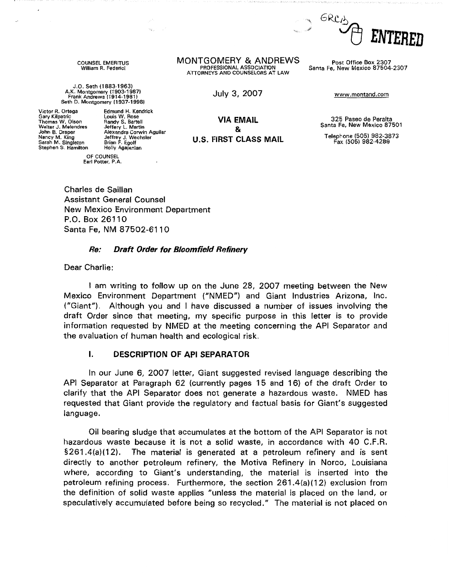

COUNSEL EMERITUS William R. Federici

J.O. Seth (1883-1963) A.K. Montgomery (1903-1987) Frank Andrews (1914-1981) Seth D. Montgomery [1937-1998)

Edmund H. Kendrick

Jeffery L. Martin Alexandra Corwin Aguilar Jeffrey J. Wechsler<br>Brian F. Egolf

Holly Agajanian

Victor R. Ortega Gary Kilpatric Thomas W. Olson Walter J, Melendres John B. Draper Nancy M. King Sarah M. Singleton Stephen S. Hamilton

> OF COUNSEL Earl Potter, P.A.

**MONTGOMERY** & **ANDREWS** Post Office Box 2307 ATTORNEYS AND COUNSELORS AT LAW

July 3, 2007 www.montand.com

Santa Fe, New Mexico 87504-2307

Louis W. Rose Randy S. Bartell **VIA EMAIL**  & **U.S. FIRST CLASS MAIL** 

325 Paseo de Peralta Santa Fe, New Mexico 87501

Telephone (505) 982-3873 Fa>: (505) 982-4289

Charles de Saillan Assistant General Counsel New Mexico Environment Department P.O. Box 26110 Santa Fe, NM 87502-6110

#### **Re: Draft Order for Bloomfield Refinery**

Dear Charlie:

I am writing to follow up on the June 28, 2007 meeting between the New Mexico Environment Department ("NMED") and Giant Industries Arizona, Inc. ("Giant"). Although you and I have discussed a number of issues involving the draft Order since that meeting, my specific purpose in this letter is to provide information requested by NMED at the meeting concerning the API Separator and the evaluation of human health and ecological risk.

### I. **DESCRIPTION OF API SEPARATOR**

In our June 6, 2007 letter, Giant suggested revised language describing the API Separator at Paragraph 62 (currently pages 15 and 16) of the draft Order to clarify that the API Separator does not generate a hazardous waste. NMED has requested that Giant provide the regulatory and factual basis for Giant's suggested language.

Oil bearing sludge that accumulates at the bottom of the API Separator is not hazardous waste because it is not a solid waste, in accordance with 40 C.F.R.  $$261.4(a)(12)$ . The material is generated at a petroleum refinery and is sent directly to another petroleum refinery, the Motiva Refinery in Norco, Louisiana where, according to Giant's understanding, the material is inserted into the petroleum refining process. Furthermore, the section 261.4(a)(12) exclusion from the definition of solid waste applies "unless the material is placed on the land, or speculatively accumulated before being so recycled." The material is not placed on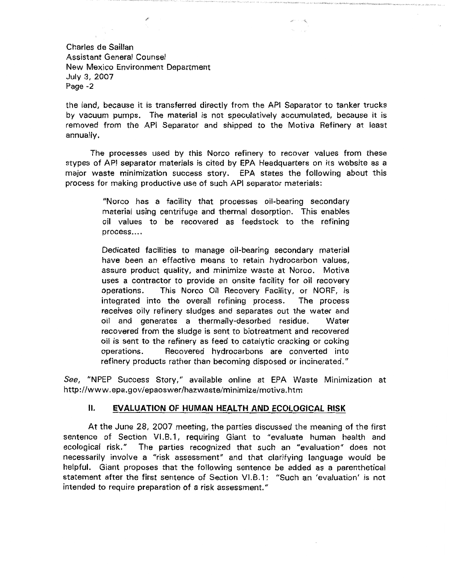Charles de Saillan Assistant General Counsel New Mexico Environment Department July 3, 2007 Page -2

the land, because it is transferred directly from the API Separator to tanker trucks by vacuum pumps. The material is not speculatively accumulated, because it is removed from the API Separator and shipped to the Motiva Refinery at least annually.

The processes used by this Norco refinery to recover values from these stypes of API separator materials is cited by EPA Headquarters on its website as a major waste minimization success story. EPA states the following about this process for making productive use of such API separator materials:

> "Norco has a facility that processes oil-bearing secondary material using centrifuge and thermal desorption. This enables oil values to be recovered as feedstock to the refining process....

> Dedicated facilities to manage oil-bearing secondary material have been an effective means to retain hydrocarbon values, assure product quality, and minimize waste at Norco. Motiva uses a contractor to provide an onsite facility for oil recovery operations. This Norco Oil Recovery Facility, or NORF, is integrated into the overall refining process. The process receives oily refinery sludges and separates out the water and oil and generates a thermally-desorbed residue. Water recovered from the sludge is sent to biotreatment and recovered oil is sent to the refinery as feed to catalytic cracking or coking operations. Recovered hydrocarbons are converted into refinery products rather than becoming disposed or incinerated."

*See,* "NPEP Success Story," available online at EPA Waste Minimization at http://www.epa.gov/epaoswer/hazwaste/minimize/motiva.htm

#### **II. EVALUATION OF HUMAN HEALTH AND ECOLOGICAL RISK**

At the June 28, 2007 meeting, the parties discussed the meaning of the first sentence of Section VI.B.1, requiring Giant to "evaluate human health and ecological risk." The parties recognized that such an "evaluation" does not necessarily involve a "risk assessment" and that clarifying language would be helpful. Giant proposes that the following sentence be added as a parenthetical statement after the first sentence of Section VI.B.1: "Such an 'evaluation' is not intended to require preparation of a risk assessment."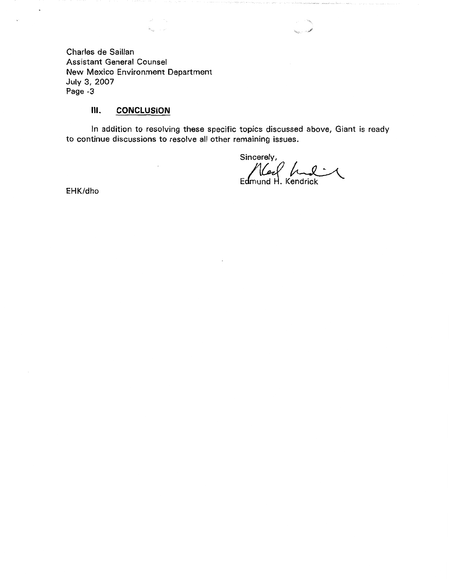Charles de Saillan Assistant General Counsel New Mexico Environment Department July 3, 2007 Page -3

 $\lambda_{\rm bij}$  $\sim \rho$ 

 $\bar{z}$ 

## Ill. **CONCLUSION**

In addition to resolving these specific topics discussed above, Giant is ready to continue discussions to resolve all other remaining issues.

Sincerely, Edmund H. Kendrick

EHK/dho

 $\ddot{\phantom{a}}$ 

 $\ddot{\phantom{1}}$